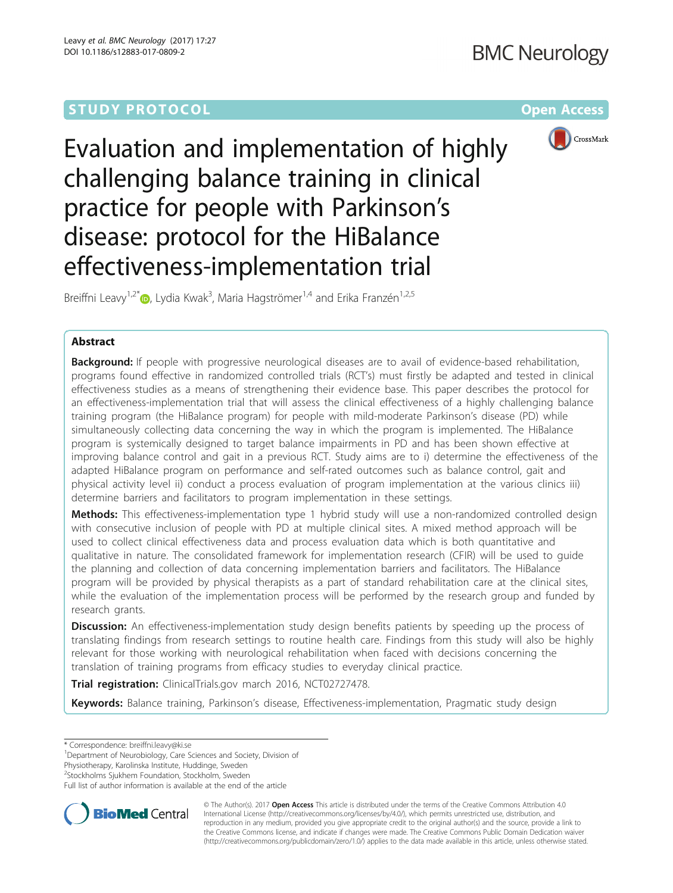

Evaluation and implementation of highly challenging balance training in clinical practice for people with Parkinson's disease: protocol for the HiBalance effectiveness-implementation trial

Breiffni Leavy<sup>1[,](http://orcid.org/0000-0002-9469-6410)2\*</sup>®, Lydia Kwak<sup>3</sup>, Maria Hagströmer<sup>1,4</sup> and Erika Franzén<sup>1,2,5</sup>

# Abstract

Background: If people with progressive neurological diseases are to avail of evidence-based rehabilitation, programs found effective in randomized controlled trials (RCT's) must firstly be adapted and tested in clinical effectiveness studies as a means of strengthening their evidence base. This paper describes the protocol for an effectiveness-implementation trial that will assess the clinical effectiveness of a highly challenging balance training program (the HiBalance program) for people with mild-moderate Parkinson's disease (PD) while simultaneously collecting data concerning the way in which the program is implemented. The HiBalance program is systemically designed to target balance impairments in PD and has been shown effective at improving balance control and gait in a previous RCT. Study aims are to i) determine the effectiveness of the adapted HiBalance program on performance and self-rated outcomes such as balance control, gait and physical activity level ii) conduct a process evaluation of program implementation at the various clinics iii) determine barriers and facilitators to program implementation in these settings.

**Methods:** This effectiveness-implementation type 1 hybrid study will use a non-randomized controlled design with consecutive inclusion of people with PD at multiple clinical sites. A mixed method approach will be used to collect clinical effectiveness data and process evaluation data which is both quantitative and qualitative in nature. The consolidated framework for implementation research (CFIR) will be used to guide the planning and collection of data concerning implementation barriers and facilitators. The HiBalance program will be provided by physical therapists as a part of standard rehabilitation care at the clinical sites, while the evaluation of the implementation process will be performed by the research group and funded by research grants.

**Discussion:** An effectiveness-implementation study design benefits patients by speeding up the process of translating findings from research settings to routine health care. Findings from this study will also be highly relevant for those working with neurological rehabilitation when faced with decisions concerning the translation of training programs from efficacy studies to everyday clinical practice.

Trial registration: ClinicalTrials.gov march 2016, [NCT02727478.](https://clinicaltrials.gov/ct2/results?term=NCT02727478.&Search=Search)

Keywords: Balance training, Parkinson's disease, Effectiveness-implementation, Pragmatic study design

\* Correspondence: [breiffni.leavy@ki.se](mailto:breiffni.leavy@ki.se) <sup>1</sup>

<sup>1</sup>Department of Neurobiology, Care Sciences and Society, Division of

Physiotherapy, Karolinska Institute, Huddinge, Sweden

<sup>2</sup>Stockholms Sjukhem Foundation, Stockholm, Sweden

Full list of author information is available at the end of the article



© The Author(s). 2017 **Open Access** This article is distributed under the terms of the Creative Commons Attribution 4.0 International License [\(http://creativecommons.org/licenses/by/4.0/](http://creativecommons.org/licenses/by/4.0/)), which permits unrestricted use, distribution, and reproduction in any medium, provided you give appropriate credit to the original author(s) and the source, provide a link to the Creative Commons license, and indicate if changes were made. The Creative Commons Public Domain Dedication waiver [\(http://creativecommons.org/publicdomain/zero/1.0/](http://creativecommons.org/publicdomain/zero/1.0/)) applies to the data made available in this article, unless otherwise stated.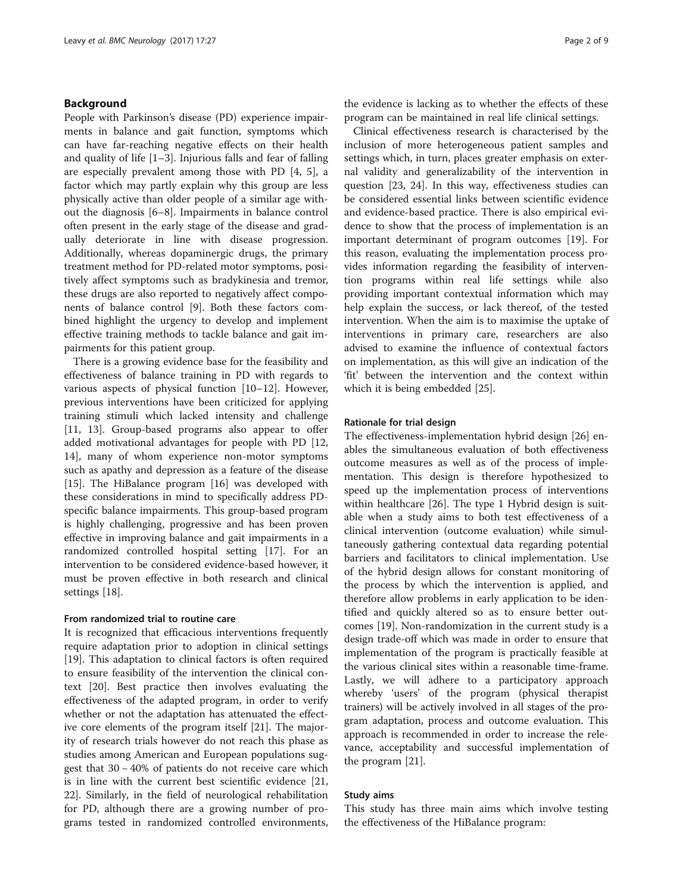# Background

People with Parkinson's disease (PD) experience impairments in balance and gait function, symptoms which can have far-reaching negative effects on their health and quality of life [[1](#page-8-0)–[3\]](#page-8-0). Injurious falls and fear of falling are especially prevalent among those with PD [\[4, 5](#page-8-0)], a factor which may partly explain why this group are less physically active than older people of a similar age without the diagnosis [[6](#page-8-0)–[8](#page-8-0)]. Impairments in balance control often present in the early stage of the disease and gradually deteriorate in line with disease progression. Additionally, whereas dopaminergic drugs, the primary treatment method for PD-related motor symptoms, positively affect symptoms such as bradykinesia and tremor, these drugs are also reported to negatively affect components of balance control [[9\]](#page-8-0). Both these factors combined highlight the urgency to develop and implement effective training methods to tackle balance and gait impairments for this patient group.

There is a growing evidence base for the feasibility and effectiveness of balance training in PD with regards to various aspects of physical function [[10](#page-8-0)–[12\]](#page-8-0). However, previous interventions have been criticized for applying training stimuli which lacked intensity and challenge [[11, 13\]](#page-8-0). Group-based programs also appear to offer added motivational advantages for people with PD [[12](#page-8-0), [14\]](#page-8-0), many of whom experience non-motor symptoms such as apathy and depression as a feature of the disease [[15\]](#page-8-0). The HiBalance program [\[16](#page-8-0)] was developed with these considerations in mind to specifically address PDspecific balance impairments. This group-based program is highly challenging, progressive and has been proven effective in improving balance and gait impairments in a randomized controlled hospital setting [[17](#page-8-0)]. For an intervention to be considered evidence-based however, it must be proven effective in both research and clinical settings [[18\]](#page-8-0).

#### From randomized trial to routine care

It is recognized that efficacious interventions frequently require adaptation prior to adoption in clinical settings [[19\]](#page-8-0). This adaptation to clinical factors is often required to ensure feasibility of the intervention the clinical context [[20\]](#page-8-0). Best practice then involves evaluating the effectiveness of the adapted program, in order to verify whether or not the adaptation has attenuated the effective core elements of the program itself [\[21\]](#page-8-0). The majority of research trials however do not reach this phase as studies among American and European populations suggest that 30 − 40% of patients do not receive care which is in line with the current best scientific evidence [[21](#page-8-0), [22\]](#page-8-0). Similarly, in the field of neurological rehabilitation for PD, although there are a growing number of programs tested in randomized controlled environments, the evidence is lacking as to whether the effects of these program can be maintained in real life clinical settings.

Clinical effectiveness research is characterised by the inclusion of more heterogeneous patient samples and settings which, in turn, places greater emphasis on external validity and generalizability of the intervention in question [\[23, 24](#page-8-0)]. In this way, effectiveness studies can be considered essential links between scientific evidence and evidence-based practice. There is also empirical evidence to show that the process of implementation is an important determinant of program outcomes [[19\]](#page-8-0). For this reason, evaluating the implementation process provides information regarding the feasibility of intervention programs within real life settings while also providing important contextual information which may help explain the success, or lack thereof, of the tested intervention. When the aim is to maximise the uptake of interventions in primary care, researchers are also advised to examine the influence of contextual factors on implementation, as this will give an indication of the 'fit' between the intervention and the context within which it is being embedded [\[25](#page-8-0)].

## Rationale for trial design

The effectiveness-implementation hybrid design [[26\]](#page-8-0) enables the simultaneous evaluation of both effectiveness outcome measures as well as of the process of implementation. This design is therefore hypothesized to speed up the implementation process of interventions within healthcare [[26](#page-8-0)]. The type 1 Hybrid design is suitable when a study aims to both test effectiveness of a clinical intervention (outcome evaluation) while simultaneously gathering contextual data regarding potential barriers and facilitators to clinical implementation. Use of the hybrid design allows for constant monitoring of the process by which the intervention is applied, and therefore allow problems in early application to be identified and quickly altered so as to ensure better outcomes [[19\]](#page-8-0). Non-randomization in the current study is a design trade-off which was made in order to ensure that implementation of the program is practically feasible at the various clinical sites within a reasonable time-frame. Lastly, we will adhere to a participatory approach whereby 'users' of the program (physical therapist trainers) will be actively involved in all stages of the program adaptation, process and outcome evaluation. This approach is recommended in order to increase the relevance, acceptability and successful implementation of the program [[21](#page-8-0)].

#### Study aims

This study has three main aims which involve testing the effectiveness of the HiBalance program: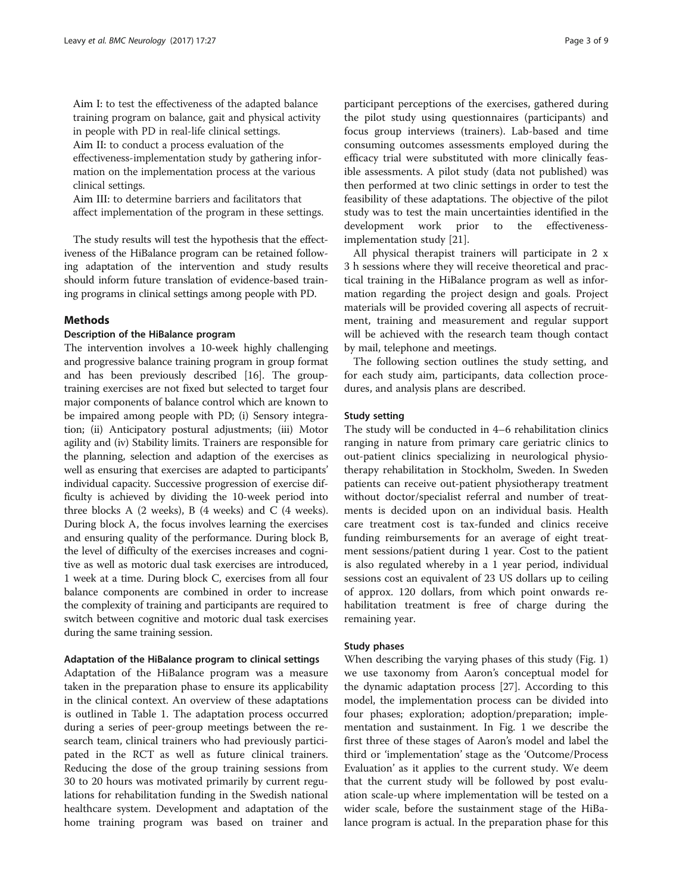Aim I: to test the effectiveness of the adapted balance training program on balance, gait and physical activity in people with PD in real-life clinical settings. Aim II: to conduct a process evaluation of the effectiveness-implementation study by gathering information on the implementation process at the various clinical settings.

Aim III: to determine barriers and facilitators that affect implementation of the program in these settings.

The study results will test the hypothesis that the effectiveness of the HiBalance program can be retained following adaptation of the intervention and study results should inform future translation of evidence-based training programs in clinical settings among people with PD.

# Methods

## Description of the HiBalance program

The intervention involves a 10-week highly challenging and progressive balance training program in group format and has been previously described [\[16\]](#page-8-0). The grouptraining exercises are not fixed but selected to target four major components of balance control which are known to be impaired among people with PD; (i) Sensory integration; (ii) Anticipatory postural adjustments; (iii) Motor agility and (iv) Stability limits. Trainers are responsible for the planning, selection and adaption of the exercises as well as ensuring that exercises are adapted to participants' individual capacity. Successive progression of exercise difficulty is achieved by dividing the 10-week period into three blocks A (2 weeks), B (4 weeks) and C (4 weeks). During block A, the focus involves learning the exercises and ensuring quality of the performance. During block B, the level of difficulty of the exercises increases and cognitive as well as motoric dual task exercises are introduced, 1 week at a time. During block C, exercises from all four balance components are combined in order to increase the complexity of training and participants are required to switch between cognitive and motoric dual task exercises during the same training session.

# Adaptation of the HiBalance program to clinical settings

Adaptation of the HiBalance program was a measure taken in the preparation phase to ensure its applicability in the clinical context. An overview of these adaptations is outlined in Table [1](#page-3-0). The adaptation process occurred during a series of peer-group meetings between the research team, clinical trainers who had previously participated in the RCT as well as future clinical trainers. Reducing the dose of the group training sessions from 30 to 20 hours was motivated primarily by current regulations for rehabilitation funding in the Swedish national healthcare system. Development and adaptation of the home training program was based on trainer and participant perceptions of the exercises, gathered during the pilot study using questionnaires (participants) and focus group interviews (trainers). Lab-based and time consuming outcomes assessments employed during the efficacy trial were substituted with more clinically feasible assessments. A pilot study (data not published) was then performed at two clinic settings in order to test the feasibility of these adaptations. The objective of the pilot study was to test the main uncertainties identified in the development work prior to the effectivenessimplementation study [\[21](#page-8-0)].

All physical therapist trainers will participate in 2 x 3 h sessions where they will receive theoretical and practical training in the HiBalance program as well as information regarding the project design and goals. Project materials will be provided covering all aspects of recruitment, training and measurement and regular support will be achieved with the research team though contact by mail, telephone and meetings.

The following section outlines the study setting, and for each study aim, participants, data collection procedures, and analysis plans are described.

# Study setting

The study will be conducted in 4–6 rehabilitation clinics ranging in nature from primary care geriatric clinics to out-patient clinics specializing in neurological physiotherapy rehabilitation in Stockholm, Sweden. In Sweden patients can receive out-patient physiotherapy treatment without doctor/specialist referral and number of treatments is decided upon on an individual basis. Health care treatment cost is tax-funded and clinics receive funding reimbursements for an average of eight treatment sessions/patient during 1 year. Cost to the patient is also regulated whereby in a 1 year period, individual sessions cost an equivalent of 23 US dollars up to ceiling of approx. 120 dollars, from which point onwards rehabilitation treatment is free of charge during the remaining year.

## Study phases

When describing the varying phases of this study (Fig. [1](#page-4-0)) we use taxonomy from Aaron's conceptual model for the dynamic adaptation process [\[27](#page-8-0)]. According to this model, the implementation process can be divided into four phases; exploration; adoption/preparation; implementation and sustainment. In Fig. [1](#page-4-0) we describe the first three of these stages of Aaron's model and label the third or 'implementation' stage as the 'Outcome/Process Evaluation' as it applies to the current study. We deem that the current study will be followed by post evaluation scale-up where implementation will be tested on a wider scale, before the sustainment stage of the HiBalance program is actual. In the preparation phase for this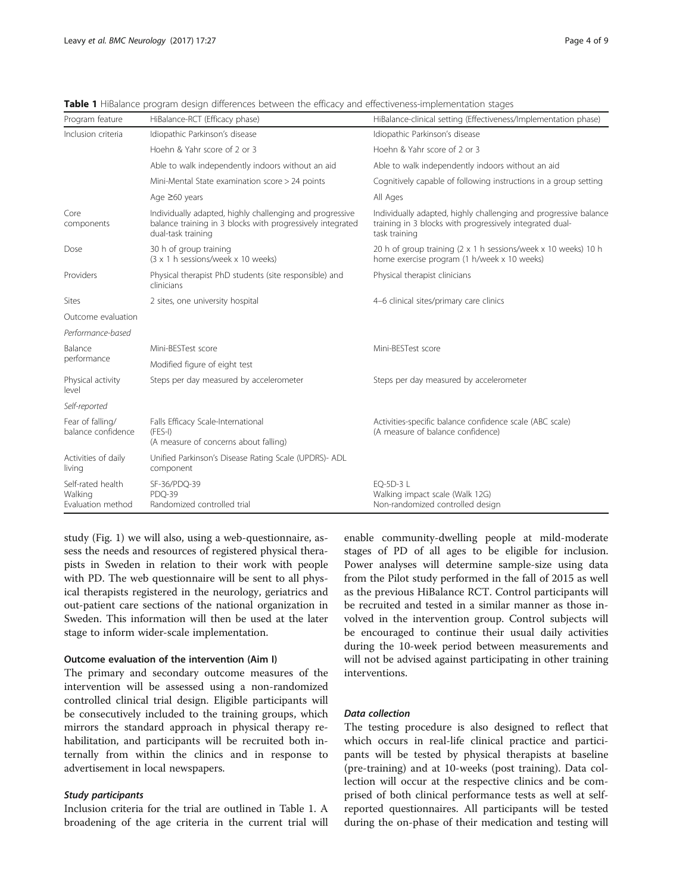| Program feature                                   | HiBalance-RCT (Efficacy phase)                                                                                                               | HiBalance-clinical setting (Effectiveness/Implementation phase)                                                                               |  |
|---------------------------------------------------|----------------------------------------------------------------------------------------------------------------------------------------------|-----------------------------------------------------------------------------------------------------------------------------------------------|--|
| Inclusion criteria                                | Idiopathic Parkinson's disease                                                                                                               | Idiopathic Parkinson's disease                                                                                                                |  |
|                                                   | Hoehn & Yahr score of 2 or 3                                                                                                                 | Hoehn & Yahr score of 2 or 3                                                                                                                  |  |
|                                                   | Able to walk independently indoors without an aid                                                                                            | Able to walk independently indoors without an aid                                                                                             |  |
|                                                   | Mini-Mental State examination score > 24 points                                                                                              | Cognitively capable of following instructions in a group setting                                                                              |  |
|                                                   | Age ≥60 years                                                                                                                                | All Ages                                                                                                                                      |  |
| Core<br>components                                | Individually adapted, highly challenging and progressive<br>balance training in 3 blocks with progressively integrated<br>dual-task training | Individually adapted, highly challenging and progressive balance<br>training in 3 blocks with progressively integrated dual-<br>task training |  |
| Dose                                              | 30 h of group training<br>(3 x 1 h sessions/week x 10 weeks)                                                                                 | 20 h of group training (2 x 1 h sessions/week x 10 weeks) 10 h<br>home exercise program (1 h/week x 10 weeks)                                 |  |
| Providers                                         | Physical therapist PhD students (site responsible) and<br>clinicians                                                                         | Physical therapist clinicians                                                                                                                 |  |
| Sites                                             | 2 sites, one university hospital                                                                                                             | 4-6 clinical sites/primary care clinics                                                                                                       |  |
| Outcome evaluation                                |                                                                                                                                              |                                                                                                                                               |  |
| Performance-based                                 |                                                                                                                                              |                                                                                                                                               |  |
| Balance<br>performance                            | Mini-BESTest score                                                                                                                           | Mini-BESTest score                                                                                                                            |  |
|                                                   | Modified figure of eight test                                                                                                                |                                                                                                                                               |  |
| Physical activity<br>level                        | Steps per day measured by accelerometer                                                                                                      | Steps per day measured by accelerometer                                                                                                       |  |
| Self-reported                                     |                                                                                                                                              |                                                                                                                                               |  |
| Fear of falling/<br>balance confidence            | Falls Efficacy Scale-International<br>$(FES-I)$<br>(A measure of concerns about falling)                                                     | Activities-specific balance confidence scale (ABC scale)<br>(A measure of balance confidence)                                                 |  |
| Activities of daily<br>living                     | Unified Parkinson's Disease Rating Scale (UPDRS)- ADL<br>component                                                                           |                                                                                                                                               |  |
| Self-rated health<br>Walking<br>Evaluation method | SF-36/PDQ-39<br>PDO-39<br>Randomized controlled trial                                                                                        | EO-5D-3 L<br>Walking impact scale (Walk 12G)<br>Non-randomized controlled design                                                              |  |

<span id="page-3-0"></span>Table 1 HiBalance program design differences between the efficacy and effectiveness-implementation stages

study (Fig. [1](#page-4-0)) we will also, using a web-questionnaire, assess the needs and resources of registered physical therapists in Sweden in relation to their work with people with PD. The web questionnaire will be sent to all physical therapists registered in the neurology, geriatrics and out-patient care sections of the national organization in Sweden. This information will then be used at the later stage to inform wider-scale implementation.

## Outcome evaluation of the intervention (Aim I)

The primary and secondary outcome measures of the intervention will be assessed using a non-randomized controlled clinical trial design. Eligible participants will be consecutively included to the training groups, which mirrors the standard approach in physical therapy rehabilitation, and participants will be recruited both internally from within the clinics and in response to advertisement in local newspapers.

## Study participants

Inclusion criteria for the trial are outlined in Table 1. A broadening of the age criteria in the current trial will

enable community-dwelling people at mild-moderate stages of PD of all ages to be eligible for inclusion. Power analyses will determine sample-size using data from the Pilot study performed in the fall of 2015 as well as the previous HiBalance RCT. Control participants will be recruited and tested in a similar manner as those involved in the intervention group. Control subjects will be encouraged to continue their usual daily activities during the 10-week period between measurements and will not be advised against participating in other training interventions.

## Data collection

The testing procedure is also designed to reflect that which occurs in real-life clinical practice and participants will be tested by physical therapists at baseline (pre-training) and at 10-weeks (post training). Data collection will occur at the respective clinics and be comprised of both clinical performance tests as well at selfreported questionnaires. All participants will be tested during the on-phase of their medication and testing will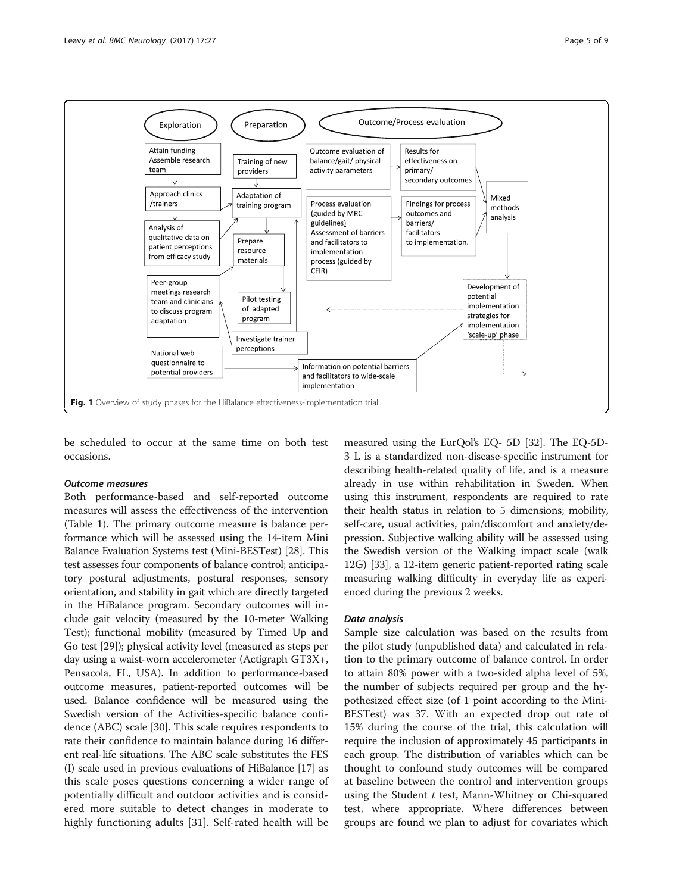<span id="page-4-0"></span>

be scheduled to occur at the same time on both test occasions.

#### Outcome measures

Both performance-based and self-reported outcome measures will assess the effectiveness of the intervention (Table [1\)](#page-3-0). The primary outcome measure is balance performance which will be assessed using the 14-item Mini Balance Evaluation Systems test (Mini-BESTest) [\[28\]](#page-8-0). This test assesses four components of balance control; anticipatory postural adjustments, postural responses, sensory orientation, and stability in gait which are directly targeted in the HiBalance program. Secondary outcomes will include gait velocity (measured by the 10-meter Walking Test); functional mobility (measured by Timed Up and Go test [[29](#page-8-0)]); physical activity level (measured as steps per day using a waist-worn accelerometer (Actigraph GT3X+, Pensacola, FL, USA). In addition to performance-based outcome measures, patient-reported outcomes will be used. Balance confidence will be measured using the Swedish version of the Activities-specific balance confidence (ABC) scale [\[30\]](#page-8-0). This scale requires respondents to rate their confidence to maintain balance during 16 different real-life situations. The ABC scale substitutes the FES (I) scale used in previous evaluations of HiBalance [[17](#page-8-0)] as this scale poses questions concerning a wider range of potentially difficult and outdoor activities and is considered more suitable to detect changes in moderate to highly functioning adults [[31\]](#page-8-0). Self-rated health will be

measured using the EurQol's EQ- 5D [[32](#page-8-0)]. The EQ-5D-3 L is a standardized non-disease-specific instrument for describing health-related quality of life, and is a measure already in use within rehabilitation in Sweden. When using this instrument, respondents are required to rate their health status in relation to 5 dimensions; mobility, self-care, usual activities, pain/discomfort and anxiety/depression. Subjective walking ability will be assessed using the Swedish version of the Walking impact scale (walk 12G) [\[33\]](#page-8-0), a 12-item generic patient-reported rating scale measuring walking difficulty in everyday life as experienced during the previous 2 weeks.

## Data analysis

Sample size calculation was based on the results from the pilot study (unpublished data) and calculated in relation to the primary outcome of balance control. In order to attain 80% power with a two-sided alpha level of 5%, the number of subjects required per group and the hypothesized effect size (of 1 point according to the Mini-BESTest) was 37. With an expected drop out rate of 15% during the course of the trial, this calculation will require the inclusion of approximately 45 participants in each group. The distribution of variables which can be thought to confound study outcomes will be compared at baseline between the control and intervention groups using the Student  $t$  test, Mann-Whitney or Chi-squared test, where appropriate. Where differences between groups are found we plan to adjust for covariates which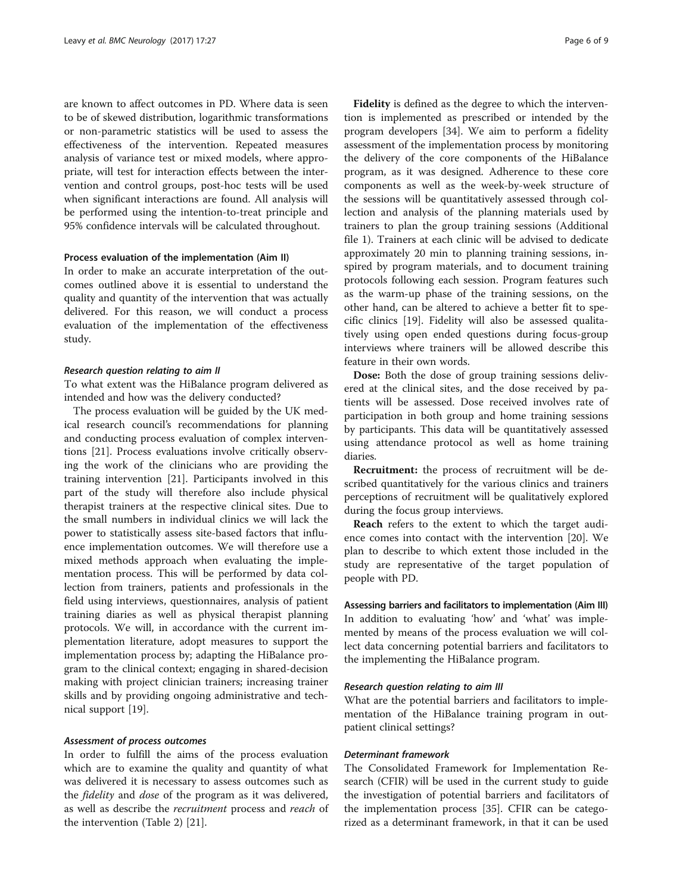are known to affect outcomes in PD. Where data is seen to be of skewed distribution, logarithmic transformations or non-parametric statistics will be used to assess the effectiveness of the intervention. Repeated measures analysis of variance test or mixed models, where appropriate, will test for interaction effects between the intervention and control groups, post-hoc tests will be used when significant interactions are found. All analysis will be performed using the intention-to-treat principle and 95% confidence intervals will be calculated throughout.

## Process evaluation of the implementation (Aim II)

In order to make an accurate interpretation of the outcomes outlined above it is essential to understand the quality and quantity of the intervention that was actually delivered. For this reason, we will conduct a process evaluation of the implementation of the effectiveness study.

#### Research question relating to aim II

To what extent was the HiBalance program delivered as intended and how was the delivery conducted?

The process evaluation will be guided by the UK medical research council's recommendations for planning and conducting process evaluation of complex interventions [\[21\]](#page-8-0). Process evaluations involve critically observing the work of the clinicians who are providing the training intervention [\[21](#page-8-0)]. Participants involved in this part of the study will therefore also include physical therapist trainers at the respective clinical sites. Due to the small numbers in individual clinics we will lack the power to statistically assess site-based factors that influence implementation outcomes. We will therefore use a mixed methods approach when evaluating the implementation process. This will be performed by data collection from trainers, patients and professionals in the field using interviews, questionnaires, analysis of patient training diaries as well as physical therapist planning protocols. We will, in accordance with the current implementation literature, adopt measures to support the implementation process by; adapting the HiBalance program to the clinical context; engaging in shared-decision making with project clinician trainers; increasing trainer skills and by providing ongoing administrative and technical support [[19](#page-8-0)].

## Assessment of process outcomes

In order to fulfill the aims of the process evaluation which are to examine the quality and quantity of what was delivered it is necessary to assess outcomes such as the *fidelity* and *dose* of the program as it was delivered, as well as describe the *recruitment* process and *reach* of the intervention (Table [2\)](#page-6-0) [\[21\]](#page-8-0).

Fidelity is defined as the degree to which the intervention is implemented as prescribed or intended by the program developers [[34\]](#page-8-0). We aim to perform a fidelity assessment of the implementation process by monitoring the delivery of the core components of the HiBalance program, as it was designed. Adherence to these core components as well as the week-by-week structure of the sessions will be quantitatively assessed through collection and analysis of the planning materials used by trainers to plan the group training sessions (Additional file [1](#page-7-0)). Trainers at each clinic will be advised to dedicate approximately 20 min to planning training sessions, inspired by program materials, and to document training protocols following each session. Program features such as the warm-up phase of the training sessions, on the other hand, can be altered to achieve a better fit to specific clinics [[19\]](#page-8-0). Fidelity will also be assessed qualitatively using open ended questions during focus-group interviews where trainers will be allowed describe this feature in their own words.

Dose: Both the dose of group training sessions delivered at the clinical sites, and the dose received by patients will be assessed. Dose received involves rate of participation in both group and home training sessions by participants. This data will be quantitatively assessed using attendance protocol as well as home training diaries.

Recruitment: the process of recruitment will be described quantitatively for the various clinics and trainers perceptions of recruitment will be qualitatively explored during the focus group interviews.

Reach refers to the extent to which the target audience comes into contact with the intervention [\[20](#page-8-0)]. We plan to describe to which extent those included in the study are representative of the target population of people with PD.

Assessing barriers and facilitators to implementation (Aim III) In addition to evaluating 'how' and 'what' was implemented by means of the process evaluation we will collect data concerning potential barriers and facilitators to the implementing the HiBalance program.

#### Research question relating to aim III

What are the potential barriers and facilitators to implementation of the HiBalance training program in outpatient clinical settings?

## Determinant framework

The Consolidated Framework for Implementation Research (CFIR) will be used in the current study to guide the investigation of potential barriers and facilitators of the implementation process [[35\]](#page-8-0). CFIR can be categorized as a determinant framework, in that it can be used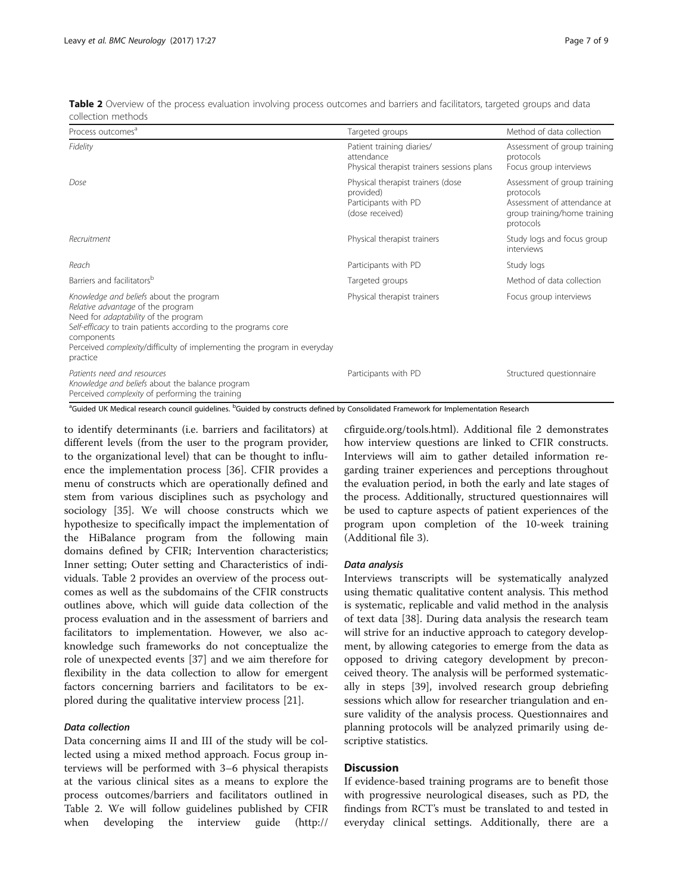| Process outcomes <sup>a</sup>                                                                                                                                                                                                                                                                              | Targeted groups                                                                           | Method of data collection                                                                                             |
|------------------------------------------------------------------------------------------------------------------------------------------------------------------------------------------------------------------------------------------------------------------------------------------------------------|-------------------------------------------------------------------------------------------|-----------------------------------------------------------------------------------------------------------------------|
| Fidelity                                                                                                                                                                                                                                                                                                   | Patient training diaries/<br>attendance<br>Physical therapist trainers sessions plans     | Assessment of group training<br>protocols<br>Focus group interviews                                                   |
| Dose                                                                                                                                                                                                                                                                                                       | Physical therapist trainers (dose<br>provided)<br>Participants with PD<br>(dose received) | Assessment of group training<br>protocols<br>Assessment of attendance at<br>group training/home training<br>protocols |
| Recruitment                                                                                                                                                                                                                                                                                                | Physical therapist trainers                                                               | Study logs and focus group<br>interviews                                                                              |
| Reach                                                                                                                                                                                                                                                                                                      | Participants with PD                                                                      | Study logs                                                                                                            |
| Barriers and facilitators <sup>b</sup>                                                                                                                                                                                                                                                                     | Targeted groups                                                                           | Method of data collection                                                                                             |
| Knowledge and beliefs about the program<br>Relative advantage of the program<br>Need for <i>adaptability</i> of the program<br>Self-efficacy to train patients according to the programs core<br>components<br>Perceived <i>complexity</i> /difficulty of implementing the program in everyday<br>practice | Physical therapist trainers                                                               | Focus group interviews                                                                                                |
| Patients need and resources<br>Knowledge and beliefs about the balance program<br>Perceived complexity of performing the training                                                                                                                                                                          | Participants with PD                                                                      | Structured questionnaire                                                                                              |

<span id="page-6-0"></span>Table 2 Overview of the process evaluation involving process outcomes and barriers and facilitators, targeted groups and data collection methods

<sup>a</sup>Guided UK Medical research council guidelines. <sup>b</sup>Guided by constructs defined by Consolidated Framework for Implementation Research

to identify determinants (i.e. barriers and facilitators) at different levels (from the user to the program provider, to the organizational level) that can be thought to influence the implementation process [\[36\]](#page-8-0). CFIR provides a menu of constructs which are operationally defined and stem from various disciplines such as psychology and sociology [[35](#page-8-0)]. We will choose constructs which we hypothesize to specifically impact the implementation of the HiBalance program from the following main domains defined by CFIR; Intervention characteristics; Inner setting; Outer setting and Characteristics of individuals. Table 2 provides an overview of the process outcomes as well as the subdomains of the CFIR constructs outlines above, which will guide data collection of the process evaluation and in the assessment of barriers and facilitators to implementation. However, we also acknowledge such frameworks do not conceptualize the role of unexpected events [\[37\]](#page-8-0) and we aim therefore for flexibility in the data collection to allow for emergent factors concerning barriers and facilitators to be explored during the qualitative interview process [[21\]](#page-8-0).

# Data collection

Data concerning aims II and III of the study will be collected using a mixed method approach. Focus group interviews will be performed with 3–6 physical therapists at the various clinical sites as a means to explore the process outcomes/barriers and facilitators outlined in Table 2. We will follow guidelines published by CFIR when developing the interview guide [\(http://](http://cfirguide.org/tools.html)

[cfirguide.org/tools.html\)](http://cfirguide.org/tools.html). Additional file [2](#page-7-0) demonstrates how interview questions are linked to CFIR constructs. Interviews will aim to gather detailed information regarding trainer experiences and perceptions throughout the evaluation period, in both the early and late stages of the process. Additionally, structured questionnaires will be used to capture aspects of patient experiences of the program upon completion of the 10-week training (Additional file [3](#page-7-0)).

#### Data analysis

Interviews transcripts will be systematically analyzed using thematic qualitative content analysis. This method is systematic, replicable and valid method in the analysis of text data [[38\]](#page-8-0). During data analysis the research team will strive for an inductive approach to category development, by allowing categories to emerge from the data as opposed to driving category development by preconceived theory. The analysis will be performed systematically in steps [\[39](#page-8-0)], involved research group debriefing sessions which allow for researcher triangulation and ensure validity of the analysis process. Questionnaires and planning protocols will be analyzed primarily using descriptive statistics.

# **Discussion**

If evidence-based training programs are to benefit those with progressive neurological diseases, such as PD, the findings from RCT's must be translated to and tested in everyday clinical settings. Additionally, there are a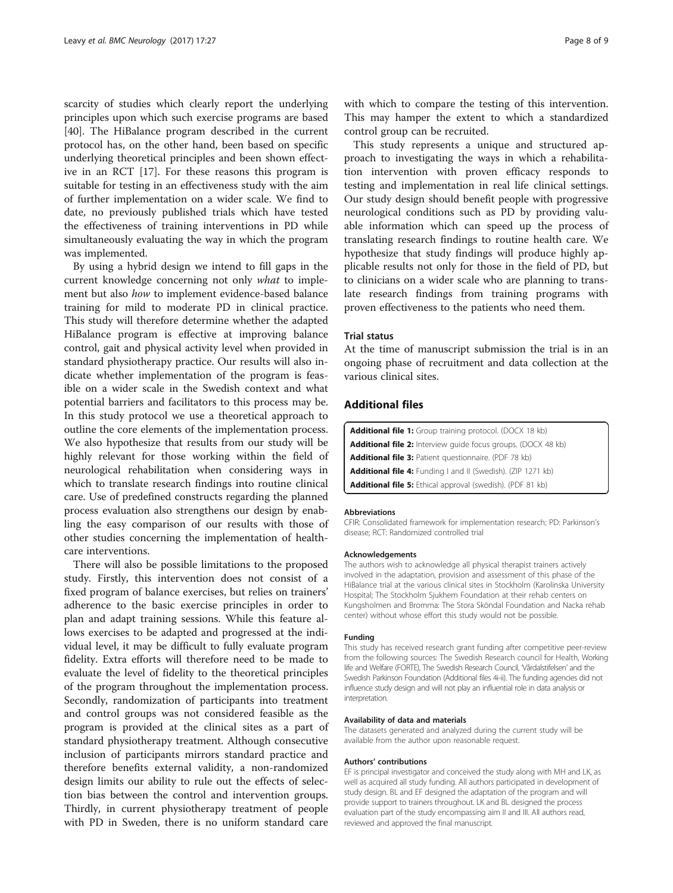<span id="page-7-0"></span>scarcity of studies which clearly report the underlying principles upon which such exercise programs are based [[40\]](#page-8-0). The HiBalance program described in the current protocol has, on the other hand, been based on specific underlying theoretical principles and been shown effective in an RCT [[17](#page-8-0)]. For these reasons this program is suitable for testing in an effectiveness study with the aim of further implementation on a wider scale. We find to date, no previously published trials which have tested the effectiveness of training interventions in PD while simultaneously evaluating the way in which the program was implemented.

By using a hybrid design we intend to fill gaps in the current knowledge concerning not only what to implement but also how to implement evidence-based balance training for mild to moderate PD in clinical practice. This study will therefore determine whether the adapted HiBalance program is effective at improving balance control, gait and physical activity level when provided in standard physiotherapy practice. Our results will also indicate whether implementation of the program is feasible on a wider scale in the Swedish context and what potential barriers and facilitators to this process may be. In this study protocol we use a theoretical approach to outline the core elements of the implementation process. We also hypothesize that results from our study will be highly relevant for those working within the field of neurological rehabilitation when considering ways in which to translate research findings into routine clinical care. Use of predefined constructs regarding the planned process evaluation also strengthens our design by enabling the easy comparison of our results with those of other studies concerning the implementation of healthcare interventions.

There will also be possible limitations to the proposed study. Firstly, this intervention does not consist of a fixed program of balance exercises, but relies on trainers' adherence to the basic exercise principles in order to plan and adapt training sessions. While this feature allows exercises to be adapted and progressed at the individual level, it may be difficult to fully evaluate program fidelity. Extra efforts will therefore need to be made to evaluate the level of fidelity to the theoretical principles of the program throughout the implementation process. Secondly, randomization of participants into treatment and control groups was not considered feasible as the program is provided at the clinical sites as a part of standard physiotherapy treatment. Although consecutive inclusion of participants mirrors standard practice and therefore benefits external validity, a non-randomized design limits our ability to rule out the effects of selection bias between the control and intervention groups. Thirdly, in current physiotherapy treatment of people with PD in Sweden, there is no uniform standard care

with which to compare the testing of this intervention. This may hamper the extent to which a standardized control group can be recruited.

This study represents a unique and structured approach to investigating the ways in which a rehabilitation intervention with proven efficacy responds to testing and implementation in real life clinical settings. Our study design should benefit people with progressive neurological conditions such as PD by providing valuable information which can speed up the process of translating research findings to routine health care. We hypothesize that study findings will produce highly applicable results not only for those in the field of PD, but to clinicians on a wider scale who are planning to translate research findings from training programs with proven effectiveness to the patients who need them.

## Trial status

At the time of manuscript submission the trial is in an ongoing phase of recruitment and data collection at the various clinical sites.

# Additional files

| <b>Additional file 1:</b> Group training protocol. (DOCX 18 kb)      |
|----------------------------------------------------------------------|
| <b>Additional file 2:</b> Interview quide focus groups. (DOCX 48 kb) |
| <b>Additional file 3: Patient questionnaire. (PDF 78 kb)</b>         |
| <b>Additional file 4:</b> Funding I and II (Swedish). (ZIP 1271 kb)  |
| <b>Additional file 5:</b> Ethical approval (swedish). (PDF 81 kb)    |

#### Abbreviations

CFIR: Consolidated framework for implementation research; PD: Parkinson's disease; RCT: Randomized controlled trial

#### Acknowledgements

The authors wish to acknowledge all physical therapist trainers actively involved in the adaptation, provision and assessment of this phase of the HiBalance trial at the various clinical sites in Stockholm (Karolinska University Hospital; The Stockholm Sjukhem Foundation at their rehab centers on Kungsholmen and Bromma: The Stora Sköndal Foundation and Nacka rehab center) without whose effort this study would not be possible.

## Funding

This study has received research grant funding after competitive peer-review from the following sources: The Swedish Research council for Health, Working life and Welfare (FORTE), The Swedish Research Council, 'Vårdalstifelsen' and the Swedish Parkinson Foundation (Additional files 4i-ii). The funding agencies did not influence study design and will not play an influential role in data analysis or interpretation.

#### Availability of data and materials

The datasets generated and analyzed during the current study will be available from the author upon reasonable request.

#### Authors' contributions

EF is principal investigator and conceived the study along with MH and LK, as well as acquired all study funding. All authors participated in development of study design. BL and EF designed the adaptation of the program and will provide support to trainers throughout. LK and BL designed the process evaluation part of the study encompassing aim II and III. All authors read, reviewed and approved the final manuscript.